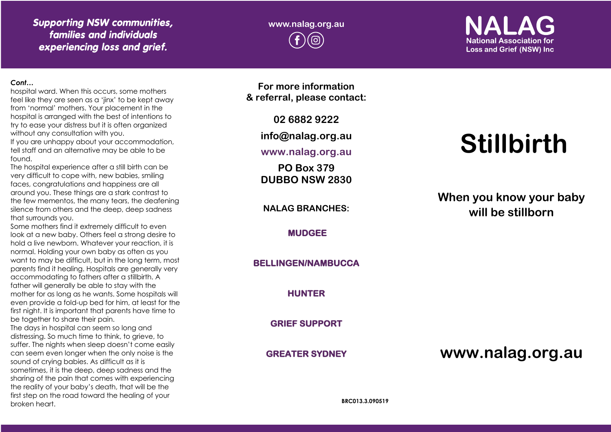## *Supporting NSW communities, families and individuals experiencing loss and grief.*

**www.nalag.org.au**

# **National Association for Loss and Grief (NSW) Inc.**

#### *Cont…*

hospital ward. When this occurs, some mothers feel like they are seen as a 'jinx' to be kept away from 'normal' mothers. Your placement in the hospital is arranged with the best of intentions to try to ease your distress but it is often organized without any consultation with you.

If you are unhappy about your accommodation, tell staff and an alternative may be able to be found.

The hospital experience after a still birth can be very difficult to cope with, new babies, smiling faces, congratulations and happiness are all around you. These things are a stark contrast to the few mementos, the many tears, the deafening silence from others and the deep, deep sadness that surrounds you.

Some mothers find it extremely difficult to even look at a new baby. Others feel a strong desire to hold a live newborn. Whatever your reaction, it is normal. Holding your own baby as often as you want to may be difficult, but in the long term, most parents find it healing. Hospitals are generally very accommodating to fathers after a stillbirth. A father will generally be able to stay with the mother for as long as he wants. Some hospitals will even provide a fold -up bed for him, at least for the first night. It is important that parents have time to be together to share their pain.

The days in hospital can seem so long and distressing. So much time to think, to grieve, to suffer. The nights when sleep doesn't come easily can seem even longer when the only noise is the sound of crying babies. As difficult as it is sometimes, it is the deep, deep sadness and the sharing of the pain that comes with experiencing the reality of your baby's death, that will be the first step on the road toward the healing of your broken heart.

**For more information & referral, please contact:**

**02 6882 9222**

**info@nalag.org.au**

**www.nalag.org.au**

**PO Box 379 DUBBO NSW 2830**

**NALAG BRANCHES:**

**MUDGEE** 

**BELLINGEN/NAMBUCCA** 

**HUNTER** 

**GRIEF SUPPORT** 

**GREATER SYDNEY** 

# **Stillbirth**

**When you know your baby will be stillborn** 

**www.nalag.org.au**

**BRC013.3.090519**